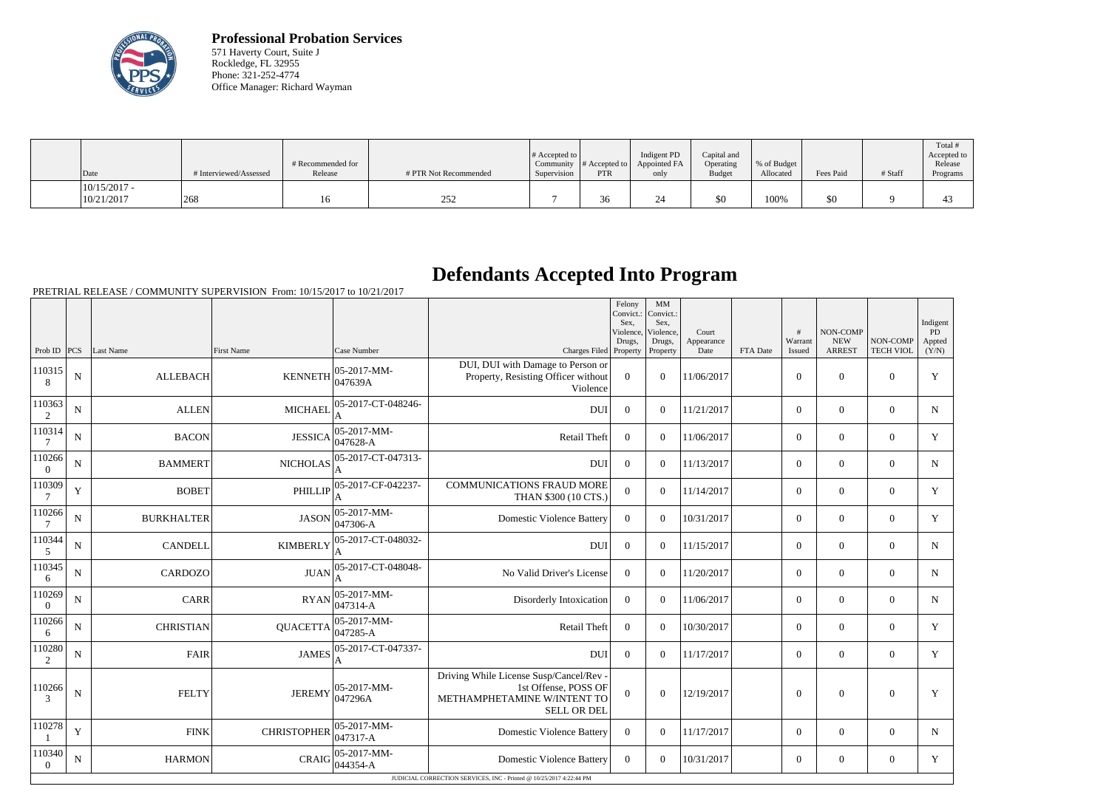

**Professional Probation Services** 571 Haverty Court, Suite J Rockledge, FL 32955 Phone: 321-252-4774 Office Manager: Richard Wayman

| Date                         | # Interviewed/Assessed | # Recommended for<br>Release | # PTR Not Recommended | $\#$ Accepted to<br>Supervision | Community $ #$ Accepted to<br><b>PTR</b> | Indigent PD<br>Appointed FA<br>only | Capital and<br>Operating<br><b>Budget</b> | % of Budget<br>Allocated | Fees Paid | # Staff | Total i<br>Accepted to<br>Release<br>Programs |
|------------------------------|------------------------|------------------------------|-----------------------|---------------------------------|------------------------------------------|-------------------------------------|-------------------------------------------|--------------------------|-----------|---------|-----------------------------------------------|
| $10/15/2017$ -<br>10/21/2017 | 268                    | 16                           | 252                   |                                 | $\sim$<br>36                             |                                     | \$0                                       | 100%                     | \$0       |         | 4                                             |

## **Defendants Accepted Into Program**

PRETRIAL RELEASE / COMMUNITY SUPERVISION From: 10/15/2017 to 10/21/2017

|                          |                |                   |                    |                                |                                                                                                                      | Felony<br>Convict.:<br>Sex.<br>Violence,<br>Drugs, | $\mbox{MM}$<br>Convict.:<br>Sex.<br>Violence,<br>Drugs, | Court<br>Appearance |          | #<br>Warrant   | NON-COMP<br><b>NEW</b> | NON-COMP         | Indigent<br>PD<br>Appted |
|--------------------------|----------------|-------------------|--------------------|--------------------------------|----------------------------------------------------------------------------------------------------------------------|----------------------------------------------------|---------------------------------------------------------|---------------------|----------|----------------|------------------------|------------------|--------------------------|
| Prob ID                  | PCS            | Last Name         | <b>First Name</b>  | Case Number                    | Charges Filed Property                                                                                               |                                                    | Property                                                | Date                | FTA Date | <b>Issued</b>  | <b>ARREST</b>          | <b>TECH VIOL</b> | (Y/N)                    |
| 110315<br>8              | ${\bf N}$      | <b>ALLEBACH</b>   | <b>KENNETH</b>     | 05-2017-MM-<br>047639A         | DUI, DUI with Damage to Person or<br>Property, Resisting Officer without<br>Violence                                 | $\overline{0}$                                     | $\overline{0}$                                          | 11/06/2017          |          | $\theta$       | $\theta$               | $\overline{0}$   | Y                        |
| 110363<br>$\overline{2}$ | $\mathbf N$    | <b>ALLEN</b>      | <b>MICHAEL</b>     | 05-2017-CT-048246-<br>A        | <b>DU</b>                                                                                                            | $\Omega$                                           | $\Omega$                                                | 11/21/2017          |          | $\Omega$       | $\Omega$               | $\overline{0}$   | $\mathbf N$              |
| 110314                   | $\mathbf N$    | <b>BACON</b>      | <b>JESSICA</b>     | 05-2017-MM-<br>047628-A        | <b>Retail Theft</b>                                                                                                  | $\overline{0}$                                     | $\Omega$                                                | 11/06/2017          |          | $\overline{0}$ | $\mathbf{0}$           | $\overline{0}$   | Y                        |
| 110266<br>$\theta$       | $\overline{N}$ | <b>BAMMERT</b>    | <b>NICHOLAS</b>    | 05-2017-CT-047313-             | <b>DUI</b>                                                                                                           | $\overline{0}$                                     | $\Omega$                                                | 11/13/2017          |          | $\overline{0}$ | $\boldsymbol{0}$       | $\overline{0}$   | $\mathbf N$              |
| 110309                   | Y              | <b>BOBET</b>      | <b>PHILLIP</b>     | 05-2017-CF-042237-             | <b>COMMUNICATIONS FRAUD MORE</b><br>THAN \$300 (10 CTS.)                                                             | $\overline{0}$                                     | $\overline{0}$                                          | 11/14/2017          |          | $\overline{0}$ | $\mathbf{0}$           | $\overline{0}$   | Y                        |
| 110266<br>7              | $\mathbf N$    | <b>BURKHALTER</b> | <b>JASON</b>       | 05-2017-MM-<br>047306-A        | <b>Domestic Violence Battery</b>                                                                                     | $\overline{0}$                                     | $\Omega$                                                | 10/31/2017          |          | $\overline{0}$ | $\boldsymbol{0}$       | $\overline{0}$   | Y                        |
| 110344<br>5              | $\mathbf N$    | <b>CANDELL</b>    | <b>KIMBERLY</b>    | 05-2017-CT-048032-<br>A        | <b>DUI</b>                                                                                                           | $\overline{0}$                                     | $\Omega$                                                | 11/15/2017          |          | $\Omega$       | $\theta$               | $\Omega$         | $\mathbf N$              |
| 110345<br>6              | N              | <b>CARDOZO</b>    | <b>JUAN</b>        | 05-2017-CT-048048-             | No Valid Driver's License                                                                                            | $\theta$                                           | $\Omega$                                                | 11/20/2017          |          | $\Omega$       | $\theta$               | $\Omega$         | N                        |
| 110269<br>$\Omega$       | N              | <b>CARR</b>       | <b>RYAN</b>        | 05-2017-MM-<br>047314-A        | Disorderly Intoxication                                                                                              | $\theta$                                           | $\Omega$                                                | 11/06/2017          |          | $\overline{0}$ | $\theta$               | $\Omega$         | $\mathbf N$              |
| 110266<br>6              | N              | <b>CHRISTIAN</b>  | <b>QUACETTA</b>    | $ 05-2017-MM-$<br>$047285 - A$ | Retail Theft                                                                                                         | $\overline{0}$                                     | $\Omega$                                                | 10/30/2017          |          | $\overline{0}$ | $\overline{0}$         | $\overline{0}$   | Y                        |
| 110280<br>2              | N              | FAIR              | <b>JAMES</b>       | 05-2017-CT-047337-<br>A        | <b>DUI</b>                                                                                                           | $\overline{0}$                                     | $\Omega$                                                | 11/17/2017          |          | $\overline{0}$ | $\overline{0}$         | $\overline{0}$   | Y                        |
| 110266<br>3              | N              | <b>FELTY</b>      | <b>JEREMY</b>      | 05-2017-MM-<br>047296A         | Driving While License Susp/Cancel/Rev -<br>1st Offense, POSS OF<br>METHAMPHETAMINE W/INTENT TO<br><b>SELL OR DEL</b> | $\overline{0}$                                     | $\overline{0}$                                          | 12/19/2017          |          | $\overline{0}$ | $\theta$               | $\overline{0}$   | Y                        |
| 110278                   | Y              | <b>FINK</b>       | <b>CHRISTOPHER</b> | 05-2017-MM-<br>047317-A        | <b>Domestic Violence Battery</b>                                                                                     | $\theta$                                           | $\Omega$                                                | 11/17/2017          |          | $\Omega$       | $\Omega$               | $\Omega$         | N                        |
| 110340<br>$\overline{0}$ | N              | <b>HARMON</b>     | CRAIG              | 05-2017-MM-<br>044354-A        | <b>Domestic Violence Battery</b>                                                                                     | $\Omega$                                           | $\Omega$                                                | 10/31/2017          |          | $\overline{0}$ | $\theta$               | $\overline{0}$   | Y                        |
|                          |                |                   |                    |                                | JUDICIAL CORRECTION SERVICES, INC - Printed @ 10/25/2017 4:22:44 PM                                                  |                                                    |                                                         |                     |          |                |                        |                  |                          |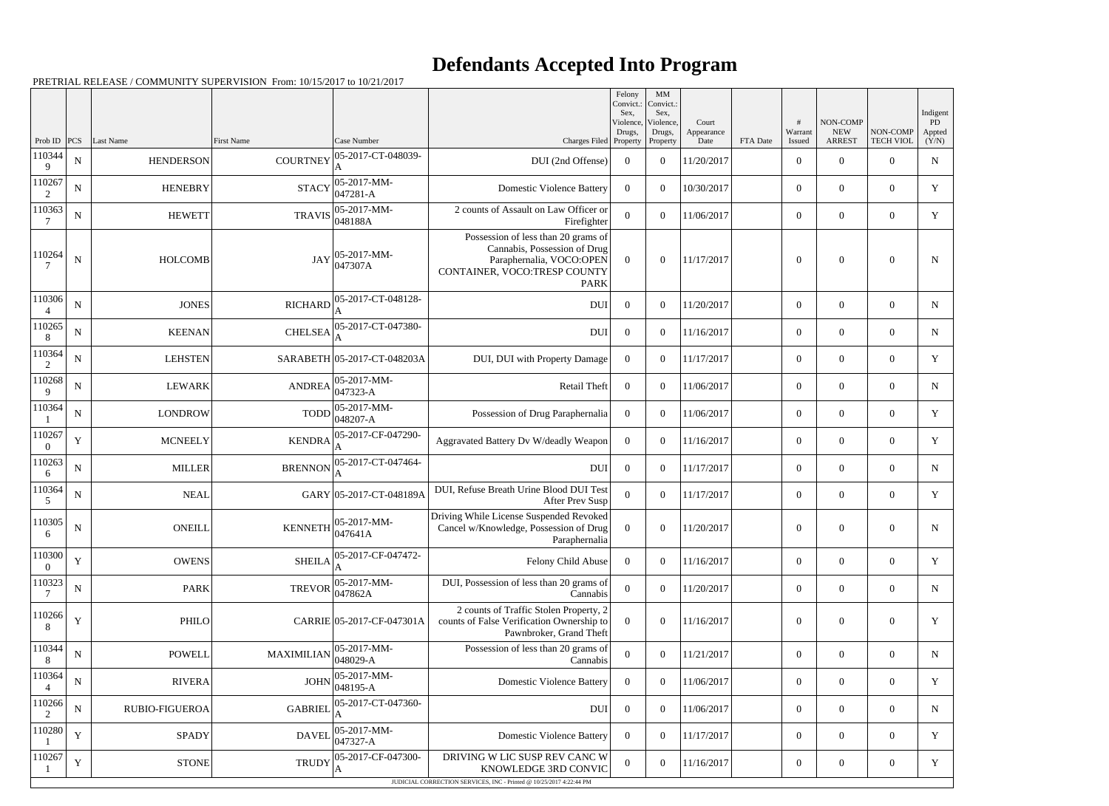## **Defendants Accepted Into Program**

PRETRIAL RELEASE / COMMUNITY SUPERVISION From: 10/15/2017 to 10/21/2017

|                          |             |                       |                   |                             |                                                                                                                                                | Felony<br>Convict.:<br>Sex,<br>Violence, | MM<br>Convict.:<br>Sex,<br>Violence, | Court              |          | #                 | NON-COMP                    |                              | Indigent<br>PD  |
|--------------------------|-------------|-----------------------|-------------------|-----------------------------|------------------------------------------------------------------------------------------------------------------------------------------------|------------------------------------------|--------------------------------------|--------------------|----------|-------------------|-----------------------------|------------------------------|-----------------|
| Prob ID                  | PCS         | <b>Last Name</b>      | <b>First Name</b> | Case Number                 | Charges Filed Property                                                                                                                         | Drugs,                                   | Drugs,<br>Property                   | Appearance<br>Date | FTA Date | Warrant<br>Issued | <b>NEW</b><br><b>ARREST</b> | NON-COMP<br><b>TECH VIOL</b> | Appted<br>(Y/N) |
| 110344<br>9              | ${\bf N}$   | <b>HENDERSON</b>      | <b>COURTNEY</b>   | 05-2017-CT-048039-          | DUI (2nd Offense)                                                                                                                              | $\overline{0}$                           | $\overline{0}$                       | 11/20/2017         |          | $\boldsymbol{0}$  | $\overline{0}$              | $\overline{0}$               | $\mathbf N$     |
| 110267<br>2              | $\mathbf N$ | <b>HENEBRY</b>        | <b>STACY</b>      | 05-2017-MM-<br>047281-A     | <b>Domestic Violence Battery</b>                                                                                                               | $\Omega$                                 | $\overline{0}$                       | 10/30/2017         |          | $\boldsymbol{0}$  | $\overline{0}$              | $\overline{0}$               | Y               |
| 110363                   | $\mathbf N$ | <b>HEWETT</b>         | <b>TRAVIS</b>     | 05-2017-MM-<br>048188A      | 2 counts of Assault on Law Officer or<br>Firefighter                                                                                           | $\overline{0}$                           | $\theta$                             | 11/06/2017         |          | $\boldsymbol{0}$  | $\overline{0}$              | $\overline{0}$               | Y               |
| 110264                   | $\mathbf N$ | <b>HOLCOMB</b>        | <b>JAY</b>        | 05-2017-MM-<br>047307A      | Possession of less than 20 grams of<br>Cannabis, Possession of Drug<br>Paraphernalia, VOCO:OPEN<br>CONTAINER, VOCO:TRESP COUNTY<br><b>PARK</b> | $\overline{0}$                           | $\overline{0}$                       | 11/17/2017         |          | $\mathbf{0}$      | $\overline{0}$              | $\boldsymbol{0}$             | N               |
| 110306                   | ${\bf N}$   | <b>JONES</b>          | <b>RICHARD</b>    | 05-2017-CT-048128-          | <b>DUI</b>                                                                                                                                     | $\overline{0}$                           | $\theta$                             | 11/20/2017         |          | $\overline{0}$    | $\overline{0}$              | $\overline{0}$               | N               |
| 110265<br>8              | ${\bf N}$   | <b>KEENAN</b>         | <b>CHELSEA</b>    | 05-2017-CT-047380-          | <b>DUI</b>                                                                                                                                     | $\overline{0}$                           | $\theta$                             | 11/16/2017         |          | $\boldsymbol{0}$  | $\overline{0}$              | $\overline{0}$               | N               |
| 110364<br>2              | ${\bf N}$   | <b>LEHSTEN</b>        |                   | SARABETH 05-2017-CT-048203A | DUI, DUI with Property Damage                                                                                                                  | $\overline{0}$                           | $\theta$                             | 11/17/2017         |          | $\overline{0}$    | $\overline{0}$              | $\overline{0}$               | $\mathbf Y$     |
| 110268<br>9              | ${\bf N}$   | <b>LEWARK</b>         | <b>ANDREA</b>     | 05-2017-MM-<br>047323-A     | Retail Theft                                                                                                                                   | $\overline{0}$                           | $\theta$                             | 11/06/2017         |          | $\overline{0}$    | $\overline{0}$              | $\theta$                     | N               |
| 110364                   | ${\bf N}$   | <b>LONDROW</b>        | <b>TODD</b>       | 05-2017-MM-<br>048207-A     | Possession of Drug Paraphernalia                                                                                                               | $\overline{0}$                           | $\theta$                             | 11/06/2017         |          | $\overline{0}$    | $\overline{0}$              | $\overline{0}$               | Y               |
| 110267<br>$\Omega$       | $\mathbf Y$ | <b>MCNEELY</b>        | <b>KENDRA</b>     | 05-2017-CF-047290-          | Aggravated Battery Dv W/deadly Weapon                                                                                                          | $\overline{0}$                           | $\theta$                             | 11/16/2017         |          | $\boldsymbol{0}$  | $\overline{0}$              | $\overline{0}$               | Y               |
| 110263<br>6              | ${\bf N}$   | <b>MILLER</b>         | <b>BRENNON</b>    | 05-2017-CT-047464-<br>A     | DUI                                                                                                                                            | $\overline{0}$                           | $\Omega$                             | 11/17/2017         |          | $\overline{0}$    | $\overline{0}$              | $\overline{0}$               | $\mathbf N$     |
| 110364<br>5              | ${\bf N}$   | <b>NEAL</b>           |                   | GARY 05-2017-CT-048189A     | DUI, Refuse Breath Urine Blood DUI Test<br>After Prev Susp                                                                                     | $\overline{0}$                           | $\theta$                             | 11/17/2017         |          | $\overline{0}$    | $\overline{0}$              | $\overline{0}$               | Y               |
| 110305<br>6              | ${\bf N}$   | <b>ONEILL</b>         | <b>KENNETH</b>    | 05-2017-MM-<br>047641A      | Driving While License Suspended Revoked<br>Cancel w/Knowledge, Possession of Drug<br>Paraphernalia                                             | $\boldsymbol{0}$                         | $\overline{0}$                       | 11/20/2017         |          | $\boldsymbol{0}$  | $\overline{0}$              | $\overline{0}$               | N               |
| 110300<br>$\overline{0}$ | Y           | <b>OWENS</b>          | <b>SHEILA</b>     | 05-2017-CF-047472-          | Felony Child Abuse                                                                                                                             | $\overline{0}$                           | $\overline{0}$                       | 11/16/2017         |          | $\boldsymbol{0}$  | $\overline{0}$              | $\overline{0}$               | Y               |
| 110323<br>7              | ${\bf N}$   | <b>PARK</b>           | <b>TREVOR</b>     | 05-2017-MM-<br>047862A      | DUI, Possession of less than 20 grams of<br>Cannabis                                                                                           | $\boldsymbol{0}$                         | $\overline{0}$                       | 11/20/2017         |          | $\overline{0}$    | $\overline{0}$              | $\overline{0}$               | N               |
| 110266<br>8              | $\mathbf Y$ | PHILO                 |                   | CARRIE 05-2017-CF-047301A   | 2 counts of Traffic Stolen Property, 2<br>counts of False Verification Ownership to<br>Pawnbroker, Grand Theft                                 | $\boldsymbol{0}$                         | $\boldsymbol{0}$                     | 11/16/2017         |          | $\boldsymbol{0}$  | $\boldsymbol{0}$            | $\overline{0}$               | Y               |
| 110344<br>8              | ${\bf N}$   | <b>POWELL</b>         | <b>MAXIMILIAN</b> | 05-2017-MM-<br>048029-A     | Possession of less than 20 grams of<br>Cannabis                                                                                                | $\boldsymbol{0}$                         | $\overline{0}$                       | 11/21/2017         |          | $\overline{0}$    | $\overline{0}$              | $\overline{0}$               | N               |
| 110364<br>$\overline{4}$ | ${\bf N}$   | <b>RIVERA</b>         | <b>JOHN</b>       | 05-2017-MM-<br>048195-A     | <b>Domestic Violence Battery</b>                                                                                                               | $\overline{0}$                           | $\overline{0}$                       | 11/06/2017         |          | $\boldsymbol{0}$  | $\overline{0}$              | $\overline{0}$               | Y               |
| 110266<br>2              | ${\bf N}$   | <b>RUBIO-FIGUEROA</b> | <b>GABRIEI</b>    | 05-2017-CT-047360-          | DUI                                                                                                                                            | $\overline{0}$                           | $\overline{0}$                       | 11/06/2017         |          | $\overline{0}$    | $\overline{0}$              | $\overline{0}$               | $\mathbf N$     |
| 110280                   | $\mathbf Y$ | SPADY                 | <b>DAVEL</b>      | 05-2017-MM-<br>047327-A     | <b>Domestic Violence Battery</b>                                                                                                               | $\overline{0}$                           | $\theta$                             | 11/17/2017         |          | $\overline{0}$    | $\overline{0}$              | $\overline{0}$               | Y               |
| 110267                   | $\mathbf Y$ | <b>STONE</b>          | <b>TRUDY</b>      | 05-2017-CF-047300-          | DRIVING W LIC SUSP REV CANC W<br>KNOWLEDGE 3RD CONVIC                                                                                          | $\boldsymbol{0}$                         | $\boldsymbol{0}$                     | 11/16/2017         |          | $\overline{0}$    | $\overline{0}$              | $\boldsymbol{0}$             | Y               |
|                          |             |                       |                   |                             | JUDICIAL CORRECTION SERVICES, INC - Printed @ 10/25/2017 4:22:44 PM                                                                            |                                          |                                      |                    |          |                   |                             |                              |                 |